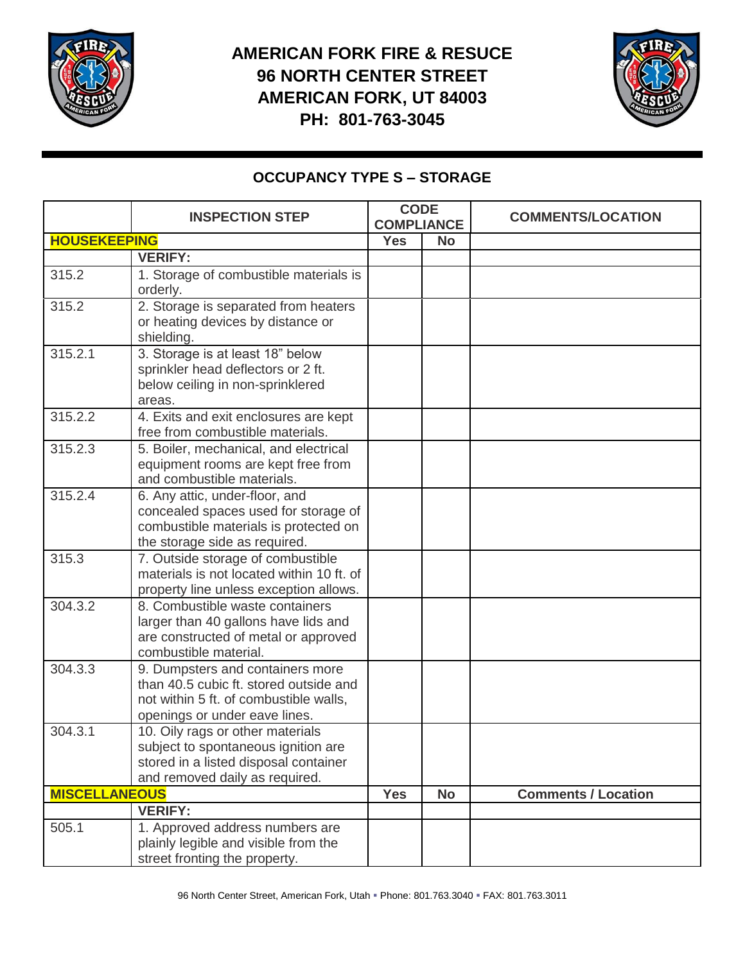

## **AMERICAN FORK FIRE & RESUCE 96 NORTH CENTER STREET AMERICAN FORK, UT 84003 PH: 801-763-3045**



## **OCCUPANCY TYPE S – STORAGE**

|                      | <b>INSPECTION STEP</b>                                                                                                                                | <b>CODE</b><br><b>COMPLIANCE</b> |           | <b>COMMENTS/LOCATION</b>   |
|----------------------|-------------------------------------------------------------------------------------------------------------------------------------------------------|----------------------------------|-----------|----------------------------|
| <b>HOUSEKEEPING</b>  |                                                                                                                                                       | <b>Yes</b>                       | <b>No</b> |                            |
|                      | <b>VERIFY:</b>                                                                                                                                        |                                  |           |                            |
| 315.2                | 1. Storage of combustible materials is<br>orderly.                                                                                                    |                                  |           |                            |
| 315.2                | 2. Storage is separated from heaters<br>or heating devices by distance or<br>shielding.                                                               |                                  |           |                            |
| 315.2.1              | 3. Storage is at least 18" below<br>sprinkler head deflectors or 2 ft.<br>below ceiling in non-sprinklered<br>areas.                                  |                                  |           |                            |
| 315.2.2              | 4. Exits and exit enclosures are kept<br>free from combustible materials.                                                                             |                                  |           |                            |
| 315.2.3              | 5. Boiler, mechanical, and electrical<br>equipment rooms are kept free from<br>and combustible materials.                                             |                                  |           |                            |
| 315.2.4              | 6. Any attic, under-floor, and<br>concealed spaces used for storage of<br>combustible materials is protected on<br>the storage side as required.      |                                  |           |                            |
| 315.3                | 7. Outside storage of combustible<br>materials is not located within 10 ft. of<br>property line unless exception allows.                              |                                  |           |                            |
| 304.3.2              | 8. Combustible waste containers<br>larger than 40 gallons have lids and<br>are constructed of metal or approved<br>combustible material.              |                                  |           |                            |
| 304.3.3              | 9. Dumpsters and containers more<br>than 40.5 cubic ft. stored outside and<br>not within 5 ft. of combustible walls,<br>openings or under eave lines. |                                  |           |                            |
| 304.3.1              | 10. Oily rags or other materials<br>subject to spontaneous ignition are<br>stored in a listed disposal container<br>and removed daily as required.    |                                  |           |                            |
| <b>MISCELLANEOUS</b> |                                                                                                                                                       | <b>Yes</b>                       | <b>No</b> | <b>Comments / Location</b> |
|                      | <b>VERIFY:</b>                                                                                                                                        |                                  |           |                            |
| 505.1                | 1. Approved address numbers are<br>plainly legible and visible from the<br>street fronting the property.                                              |                                  |           |                            |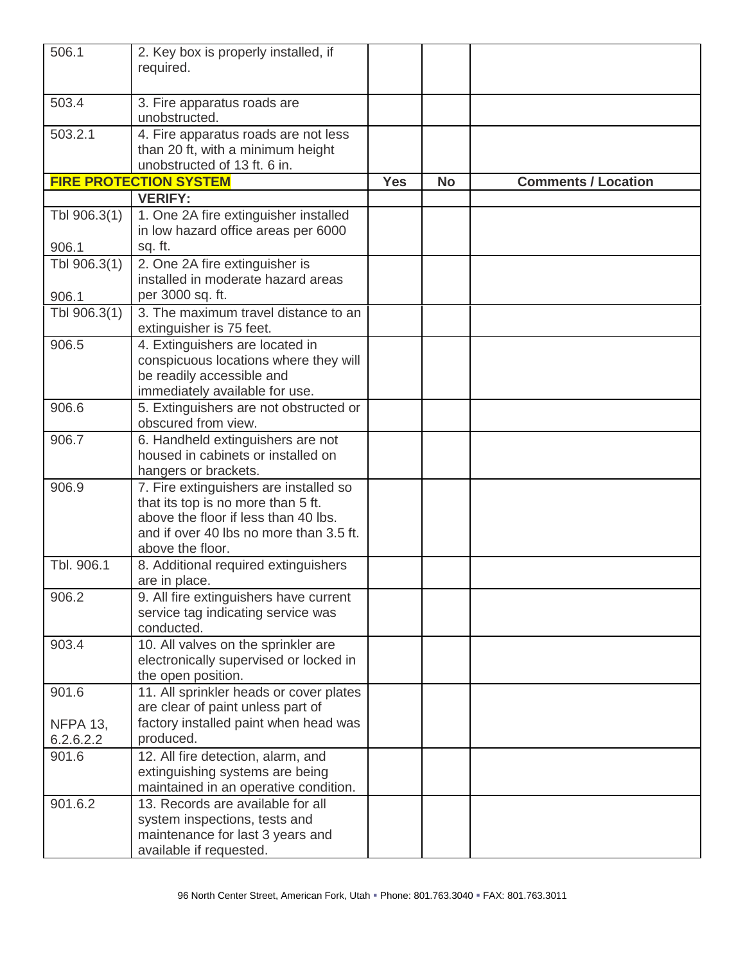| 506.1                        | 2. Key box is properly installed, if<br>required.                                                                                                                                   |            |           |                            |
|------------------------------|-------------------------------------------------------------------------------------------------------------------------------------------------------------------------------------|------------|-----------|----------------------------|
| 503.4                        | 3. Fire apparatus roads are<br>unobstructed.                                                                                                                                        |            |           |                            |
| 503.2.1                      | 4. Fire apparatus roads are not less<br>than 20 ft, with a minimum height<br>unobstructed of 13 ft. 6 in.                                                                           |            |           |                            |
|                              | <b>FIRE PROTECTION SYSTEM</b>                                                                                                                                                       | <b>Yes</b> | <b>No</b> | <b>Comments / Location</b> |
|                              | <b>VERIFY:</b>                                                                                                                                                                      |            |           |                            |
| Tbl 906.3(1)<br>906.1        | 1. One 2A fire extinguisher installed<br>in low hazard office areas per 6000<br>sq. ft.                                                                                             |            |           |                            |
| Tbl 906.3(1)                 | 2. One 2A fire extinguisher is<br>installed in moderate hazard areas                                                                                                                |            |           |                            |
| 906.1                        | per 3000 sq. ft.                                                                                                                                                                    |            |           |                            |
| Tbl 906.3(1)                 | 3. The maximum travel distance to an<br>extinguisher is 75 feet.                                                                                                                    |            |           |                            |
| 906.5                        | 4. Extinguishers are located in<br>conspicuous locations where they will<br>be readily accessible and<br>immediately available for use.                                             |            |           |                            |
| 906.6                        | 5. Extinguishers are not obstructed or<br>obscured from view.                                                                                                                       |            |           |                            |
| 906.7                        | 6. Handheld extinguishers are not<br>housed in cabinets or installed on<br>hangers or brackets.                                                                                     |            |           |                            |
| 906.9                        | 7. Fire extinguishers are installed so<br>that its top is no more than 5 ft.<br>above the floor if less than 40 lbs.<br>and if over 40 lbs no more than 3.5 ft.<br>above the floor. |            |           |                            |
| Tbl. 906.1                   | 8. Additional required extinguishers<br>are in place.                                                                                                                               |            |           |                            |
| 906.2                        | 9. All fire extinguishers have current<br>service tag indicating service was<br>conducted.                                                                                          |            |           |                            |
| 903.4                        | 10. All valves on the sprinkler are<br>electronically supervised or locked in<br>the open position.                                                                                 |            |           |                            |
| 901.6                        | 11. All sprinkler heads or cover plates<br>are clear of paint unless part of                                                                                                        |            |           |                            |
| <b>NFPA 13,</b><br>6.2.6.2.2 | factory installed paint when head was<br>produced.                                                                                                                                  |            |           |                            |
| 901.6                        | 12. All fire detection, alarm, and<br>extinguishing systems are being<br>maintained in an operative condition.                                                                      |            |           |                            |
| 901.6.2                      | 13. Records are available for all<br>system inspections, tests and<br>maintenance for last 3 years and<br>available if requested.                                                   |            |           |                            |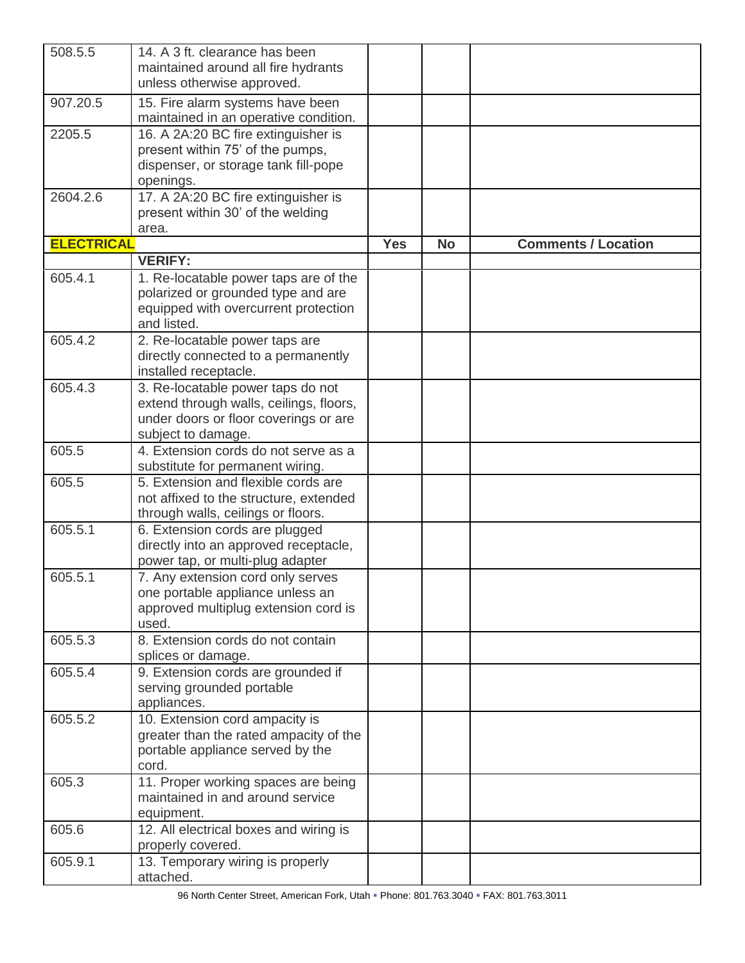| 508.5.5           | 14. A 3 ft. clearance has been<br>maintained around all fire hydrants<br>unless otherwise approved.                                         |            |           |                            |
|-------------------|---------------------------------------------------------------------------------------------------------------------------------------------|------------|-----------|----------------------------|
| 907.20.5          | 15. Fire alarm systems have been<br>maintained in an operative condition.                                                                   |            |           |                            |
| 2205.5            | 16. A 2A:20 BC fire extinguisher is<br>present within 75' of the pumps,<br>dispenser, or storage tank fill-pope<br>openings.                |            |           |                            |
| 2604.2.6          | 17. A 2A:20 BC fire extinguisher is<br>present within 30' of the welding<br>area.                                                           |            |           |                            |
| <b>ELECTRICAL</b> |                                                                                                                                             | <b>Yes</b> | <b>No</b> | <b>Comments / Location</b> |
|                   | <b>VERIFY:</b>                                                                                                                              |            |           |                            |
| 605.4.1           | 1. Re-locatable power taps are of the<br>polarized or grounded type and are<br>equipped with overcurrent protection<br>and listed.          |            |           |                            |
| 605.4.2           | 2. Re-locatable power taps are<br>directly connected to a permanently<br>installed receptacle.                                              |            |           |                            |
| 605.4.3           | 3. Re-locatable power taps do not<br>extend through walls, ceilings, floors,<br>under doors or floor coverings or are<br>subject to damage. |            |           |                            |
| 605.5             | 4. Extension cords do not serve as a<br>substitute for permanent wiring.                                                                    |            |           |                            |
| 605.5             | 5. Extension and flexible cords are<br>not affixed to the structure, extended<br>through walls, ceilings or floors.                         |            |           |                            |
| 605.5.1           | 6. Extension cords are plugged<br>directly into an approved receptacle,<br>power tap, or multi-plug adapter                                 |            |           |                            |
| 605.5.1           | 7. Any extension cord only serves<br>one portable appliance unless an<br>approved multiplug extension cord is<br>used.                      |            |           |                            |
| 605.5.3           | 8. Extension cords do not contain<br>splices or damage.                                                                                     |            |           |                            |
| 605.5.4           | 9. Extension cords are grounded if<br>serving grounded portable<br>appliances.                                                              |            |           |                            |
| 605.5.2           | 10. Extension cord ampacity is<br>greater than the rated ampacity of the<br>portable appliance served by the<br>cord.                       |            |           |                            |
| 605.3             | 11. Proper working spaces are being<br>maintained in and around service<br>equipment.                                                       |            |           |                            |
| 605.6             | 12. All electrical boxes and wiring is<br>properly covered.                                                                                 |            |           |                            |
| 605.9.1           | 13. Temporary wiring is properly<br>attached.                                                                                               |            |           |                            |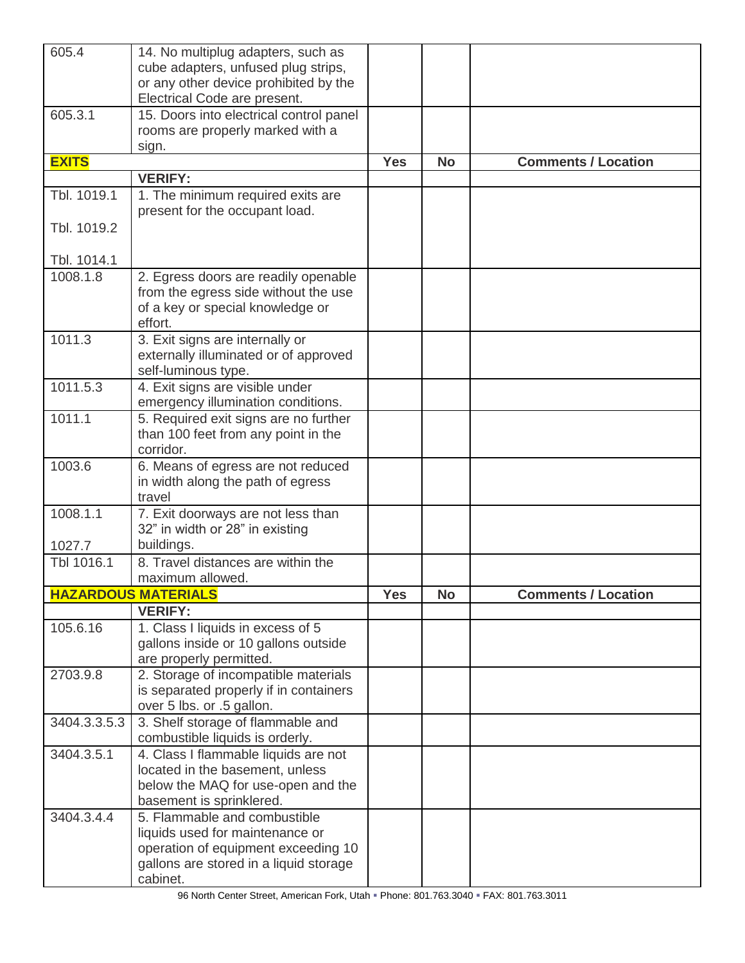| 605.4        | 14. No multiplug adapters, such as<br>cube adapters, unfused plug strips,<br>or any other device prohibited by the<br>Electrical Code are present.           |            |           |                            |
|--------------|--------------------------------------------------------------------------------------------------------------------------------------------------------------|------------|-----------|----------------------------|
| 605.3.1      | 15. Doors into electrical control panel<br>rooms are properly marked with a<br>sign.                                                                         |            |           |                            |
| <b>EXITS</b> |                                                                                                                                                              | <b>Yes</b> | <b>No</b> | <b>Comments / Location</b> |
|              | <b>VERIFY:</b>                                                                                                                                               |            |           |                            |
| Tbl. 1019.1  | 1. The minimum required exits are<br>present for the occupant load.                                                                                          |            |           |                            |
| Tbl. 1019.2  |                                                                                                                                                              |            |           |                            |
| Tbl. 1014.1  |                                                                                                                                                              |            |           |                            |
| 1008.1.8     | 2. Egress doors are readily openable<br>from the egress side without the use<br>of a key or special knowledge or<br>effort.                                  |            |           |                            |
| 1011.3       | 3. Exit signs are internally or<br>externally illuminated or of approved<br>self-luminous type.                                                              |            |           |                            |
| 1011.5.3     | 4. Exit signs are visible under<br>emergency illumination conditions.                                                                                        |            |           |                            |
| 1011.1       | 5. Required exit signs are no further<br>than 100 feet from any point in the<br>corridor.                                                                    |            |           |                            |
| 1003.6       | 6. Means of egress are not reduced<br>in width along the path of egress<br>travel                                                                            |            |           |                            |
| 1008.1.1     | 7. Exit doorways are not less than<br>32" in width or 28" in existing                                                                                        |            |           |                            |
| 1027.7       | buildings.                                                                                                                                                   |            |           |                            |
| Tbl 1016.1   | 8. Travel distances are within the<br>maximum allowed.                                                                                                       |            |           |                            |
|              | <b>HAZARDOUS MATERIALS</b>                                                                                                                                   | <b>Yes</b> | <b>No</b> | <b>Comments / Location</b> |
|              | <b>VERIFY:</b>                                                                                                                                               |            |           |                            |
| 105.6.16     | 1. Class I liquids in excess of 5<br>gallons inside or 10 gallons outside<br>are properly permitted.                                                         |            |           |                            |
| 2703.9.8     | 2. Storage of incompatible materials<br>is separated properly if in containers<br>over 5 lbs. or .5 gallon.                                                  |            |           |                            |
| 3404.3.3.5.3 | 3. Shelf storage of flammable and<br>combustible liquids is orderly.                                                                                         |            |           |                            |
| 3404.3.5.1   | 4. Class I flammable liquids are not<br>located in the basement, unless<br>below the MAQ for use-open and the<br>basement is sprinklered.                    |            |           |                            |
| 3404.3.4.4   | 5. Flammable and combustible<br>liquids used for maintenance or<br>operation of equipment exceeding 10<br>gallons are stored in a liquid storage<br>cabinet. |            |           |                            |